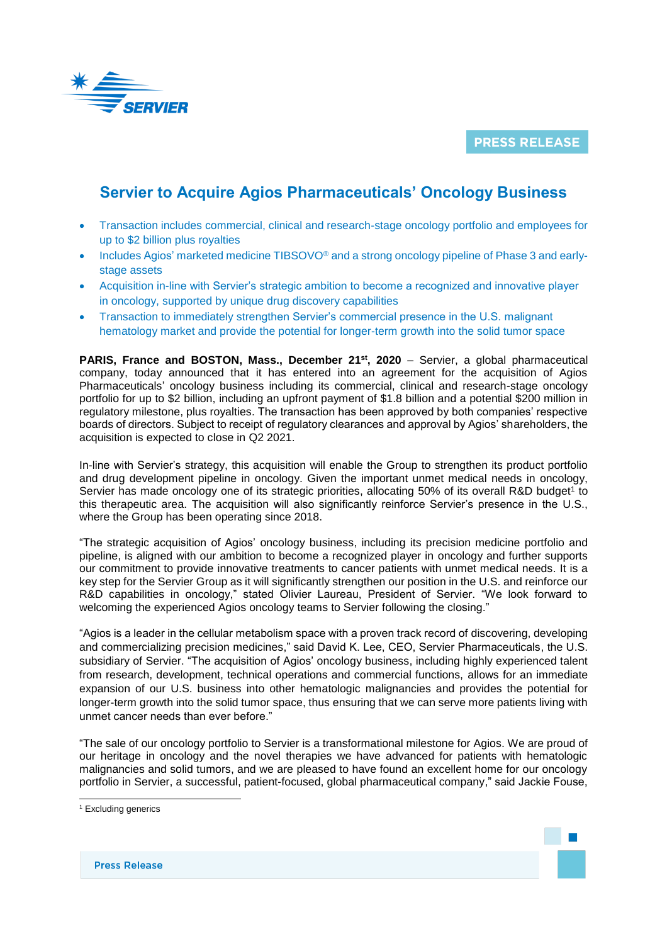

**PRESS RELEASE** 

# **Servier to Acquire Agios Pharmaceuticals' Oncology Business**

- Transaction includes commercial, clinical and research-stage oncology portfolio and employees for up to \$2 billion plus royalties
- Includes Agios' marketed medicine TIBSOVO® and a strong oncology pipeline of Phase 3 and earlystage assets
- Acquisition in-line with Servier's strategic ambition to become a recognized and innovative player in oncology, supported by unique drug discovery capabilities
- Transaction to immediately strengthen Servier's commercial presence in the U.S. malignant hematology market and provide the potential for longer-term growth into the solid tumor space

**PARIS, France and BOSTON, Mass., December 21st, 2020** – Servier, a global pharmaceutical company, today announced that it has entered into an agreement for the acquisition of Agios Pharmaceuticals' oncology business including its commercial, clinical and research-stage oncology portfolio for up to \$2 billion, including an upfront payment of \$1.8 billion and a potential \$200 million in regulatory milestone, plus royalties. The transaction has been approved by both companies' respective boards of directors. Subject to receipt of regulatory clearances and approval by Agios' shareholders, the acquisition is expected to close in Q2 2021.

In-line with Servier's strategy, this acquisition will enable the Group to strengthen its product portfolio and drug development pipeline in oncology. Given the important unmet medical needs in oncology, Servier has made oncology one of its strategic priorities, allocating 50% of its overall R&D budget<sup>1</sup> to this therapeutic area. The acquisition will also significantly reinforce Servier's presence in the U.S., where the Group has been operating since 2018.

"The strategic acquisition of Agios' oncology business, including its precision medicine portfolio and pipeline, is aligned with our ambition to become a recognized player in oncology and further supports our commitment to provide innovative treatments to cancer patients with unmet medical needs. It is a key step for the Servier Group as it will significantly strengthen our position in the U.S. and reinforce our R&D capabilities in oncology," stated Olivier Laureau, President of Servier. "We look forward to welcoming the experienced Agios oncology teams to Servier following the closing."

"Agios is a leader in the cellular metabolism space with a proven track record of discovering, developing and commercializing precision medicines," said David K. Lee, CEO, Servier Pharmaceuticals, the U.S. subsidiary of Servier. "The acquisition of Agios' oncology business, including highly experienced talent from research, development, technical operations and commercial functions, allows for an immediate expansion of our U.S. business into other hematologic malignancies and provides the potential for longer-term growth into the solid tumor space, thus ensuring that we can serve more patients living with unmet cancer needs than ever before."

"The sale of our oncology portfolio to Servier is a transformational milestone for Agios. We are proud of our heritage in oncology and the novel therapies we have advanced for patients with hematologic malignancies and solid tumors, and we are pleased to have found an excellent home for our oncology portfolio in Servier, a successful, patient-focused, global pharmaceutical company," said Jackie Fouse,

l

**Press Release** 

<sup>&</sup>lt;sup>1</sup> Excluding generics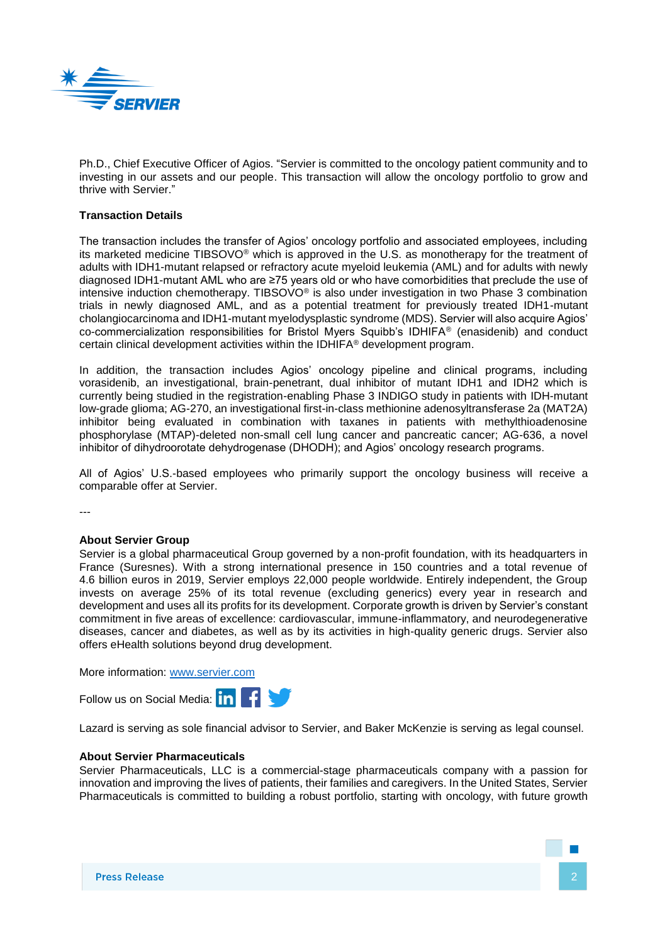

Ph.D., Chief Executive Officer of Agios. "Servier is committed to the oncology patient community and to investing in our assets and our people. This transaction will allow the oncology portfolio to grow and thrive with Servier."

# **Transaction Details**

The transaction includes the transfer of Agios' oncology portfolio and associated employees, including its marketed medicine TIBSOVO® which is approved in the U.S. as monotherapy for the treatment of adults with IDH1-mutant relapsed or refractory acute myeloid leukemia (AML) and for adults with newly diagnosed IDH1-mutant AML who are ≥75 years old or who have comorbidities that preclude the use of intensive induction chemotherapy. TIBSOVO® is also under investigation in two Phase 3 combination trials in newly diagnosed AML, and as a potential treatment for previously treated IDH1-mutant cholangiocarcinoma and IDH1-mutant myelodysplastic syndrome (MDS). Servier will also acquire Agios' co-commercialization responsibilities for Bristol Myers Squibb's IDHIFA® (enasidenib) and conduct certain clinical development activities within the IDHIFA® development program.

In addition, the transaction includes Agios' oncology pipeline and clinical programs, including vorasidenib, an investigational, brain-penetrant, dual inhibitor of mutant IDH1 and IDH2 which is currently being studied in the registration-enabling Phase 3 INDIGO study in patients with IDH-mutant low-grade glioma; AG-270, an investigational first-in-class methionine adenosyltransferase 2a (MAT2A) inhibitor being evaluated in combination with taxanes in patients with methylthioadenosine phosphorylase (MTAP)-deleted non-small cell lung cancer and pancreatic cancer; AG-636, a novel inhibitor of dihydroorotate dehydrogenase (DHODH); and Agios' oncology research programs.

All of Agios' U.S.-based employees who primarily support the oncology business will receive a comparable offer at Servier.

---

## **About Servier Group**

Servier is a global pharmaceutical Group governed by a non-profit foundation, with its headquarters in France (Suresnes). With a strong international presence in 150 countries and a total revenue of 4.6 billion euros in 2019, Servier employs 22,000 people worldwide. Entirely independent, the Group invests on average 25% of its total revenue (excluding generics) every year in research and development and uses all its profits for its development. Corporate growth is driven by Servier's constant commitment in five areas of excellence: cardiovascular, immune-inflammatory, and neurodegenerative diseases, cancer and diabetes, as well as by its activities in high-quality generic drugs. Servier also offers eHealth solutions beyond drug development.

More information: [www.servier.com](http://www.servier.com/)

Follow us on Social Media: **in** Fig.

Lazard is serving as sole financial advisor to Servier, and Baker McKenzie is serving as legal counsel.

### **About Servier Pharmaceuticals**

Servier Pharmaceuticals, LLC is a commercial-stage pharmaceuticals company with a passion for innovation and improving the lives of patients, their families and caregivers. In the United States, Servier Pharmaceuticals is committed to building a robust portfolio, starting with oncology, with future growth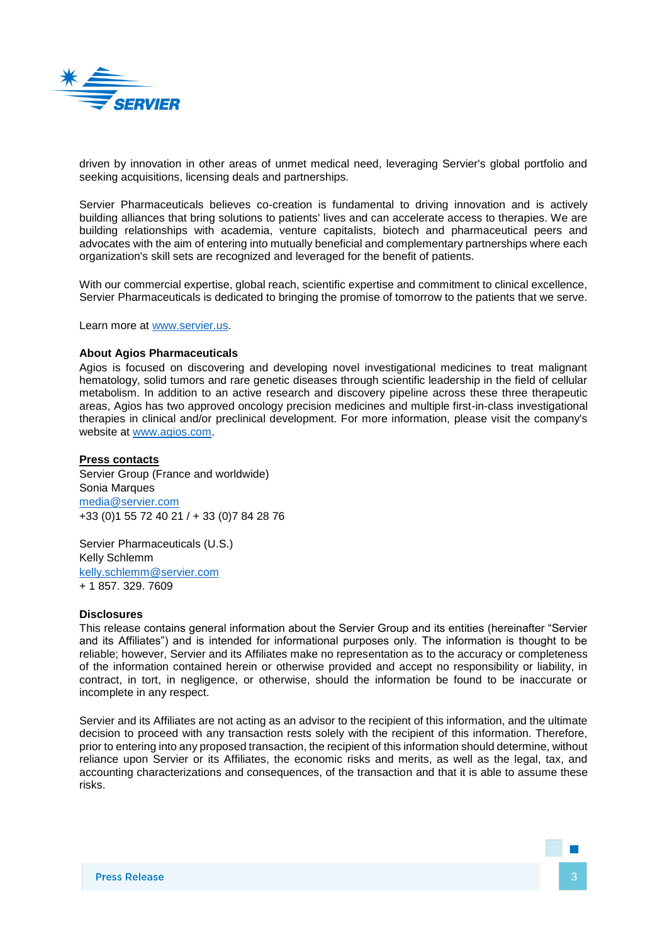

driven by innovation in other areas of unmet medical need, leveraging Servier's global portfolio and seeking acquisitions, licensing deals and partnerships.

Servier Pharmaceuticals believes co-creation is fundamental to driving innovation and is actively building alliances that bring solutions to patients' lives and can accelerate access to therapies. We are building relationships with academia, venture capitalists, biotech and pharmaceutical peers and advocates with the aim of entering into mutually beneficial and complementary partnerships where each organization's skill sets are recognized and leveraged for the benefit of patients.

With our commercial expertise, global reach, scientific expertise and commitment to clinical excellence, Servier Pharmaceuticals is dedicated to bringing the promise of tomorrow to the patients that we serve.

Learn more at [www.servier.us.](http://www.servier.us/)

#### **About Agios Pharmaceuticals**

Agios is focused on discovering and developing novel investigational medicines to treat malignant hematology, solid tumors and rare genetic diseases through scientific leadership in the field of cellular metabolism. In addition to an active research and discovery pipeline across these three therapeutic areas, Agios has two approved oncology precision medicines and multiple first-in-class investigational therapies in clinical and/or preclinical development. For more information, please visit the company's website at [www.agios.com.](http://www.agios.com/)

### **Press contacts**

Servier Group (France and worldwide) Sonia Marques [media@servier.com](mailto:media@servier.com) +33 (0)1 55 72 40 21 / + 33 (0)7 84 28 76

Servier Pharmaceuticals (U.S.) Kelly Schlemm [kelly.schlemm@servier.com](mailto:kelly.schlemm@servier.com) + 1 857. 329. 7609

#### **Disclosures**

This release contains general information about the Servier Group and its entities (hereinafter "Servier and its Affiliates") and is intended for informational purposes only. The information is thought to be reliable; however, Servier and its Affiliates make no representation as to the accuracy or completeness of the information contained herein or otherwise provided and accept no responsibility or liability, in contract, in tort, in negligence, or otherwise, should the information be found to be inaccurate or incomplete in any respect.

Servier and its Affiliates are not acting as an advisor to the recipient of this information, and the ultimate decision to proceed with any transaction rests solely with the recipient of this information. Therefore, prior to entering into any proposed transaction, the recipient of this information should determine, without reliance upon Servier or its Affiliates, the economic risks and merits, as well as the legal, tax, and accounting characterizations and consequences, of the transaction and that it is able to assume these risks.